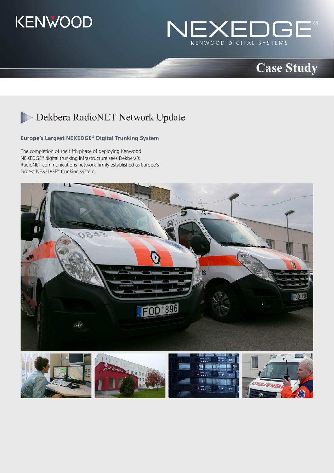



## **Case Study**

## Dekbera RadioNET Network Update

### **Europe's Largest NEXEDGE® Digital Trunking System**

The completion of the fifth phase of deploying Kenwood NEXEDGE® digital trunking infrastructure sees Dekbera's RadioNET communications network firmly established as Europe's largest NEXEDGE® trunking system.



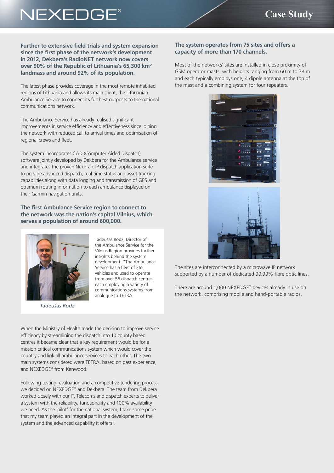# NEXEDGE®

**Further to extensive field trials and system expansion since the first phase of the network's development in 2012, Dekbera's RadioNET network now covers over 90% of the Republic of Lithuania's 65,300 km² landmass and around 92% of its population.**

The latest phase provides coverage in the most remote inhabited regions of Lithuania and allows its main client, the Lithuanian Ambulance Service to connect its furthest outposts to the national communications network.

The Ambulance Service has already realised significant improvements in service efficiency and effectiveness since joining the network with reduced call to arrival times and optimisation of regional crews and fleet.

The system incorporates CAD (Computer Aided Dispatch) software jointly developed by Dekbera for the Ambulance service and integrates the proven NexeTalk IP dispatch application suite to provide advanced dispatch, real time status and asset tracking capabilities along with data logging and transmission of GPS and optimum routing information to each ambulance displayed on their Garmin navigation units.

### **The first Ambulance Service region to connect to the network was the nation's capital Vilnius, which serves a population of around 600,000.**



*Tadeušas Rodz*

Tadeušas Rodz, Director of the Ambulance Service for the Vilnius Region provides further insights behind the system development: "The Ambulance Service has a fleet of 265 vehicles and used to operate from over 56 dispatch centres, each employing a variety of communications systems from analogue to TETRA.

When the Ministry of Health made the decision to improve service efficiency by streamlining the dispatch into 10 county based centres it became clear that a key requirement would be for a mission critical communications system which would cover the country and link all ambulance services to each other. The two main systems considered were TETRA, based on past experience, and NEXEDGE® from Kenwood.

Following testing, evaluation and a competitive tendering process we decided on NEXEDGE® and Dekbera. The team from Dekbera worked closely with our IT, Telecoms and dispatch experts to deliver a system with the reliability, functionality and 100% availability we need. As the 'pilot' for the national system, I take some pride that my team played an integral part in the development of the system and the advanced capability it offers".

### **The system operates from 75 sites and offers a capacity of more than 170 channels.**

Most of the networks' sites are installed in close proximity of GSM operator masts, with heights ranging from 60 m to 78 m and each typically employs one, 4 dipole antenna at the top of the mast and a combining system for four repeaters.





The sites are interconnected by a microwave IP network supported by a number of dedicated 99.99% fibre optic lines.

There are around 1,000 NEXEDGE® devices already in use on the network, comprising mobile and hand-portable radios.